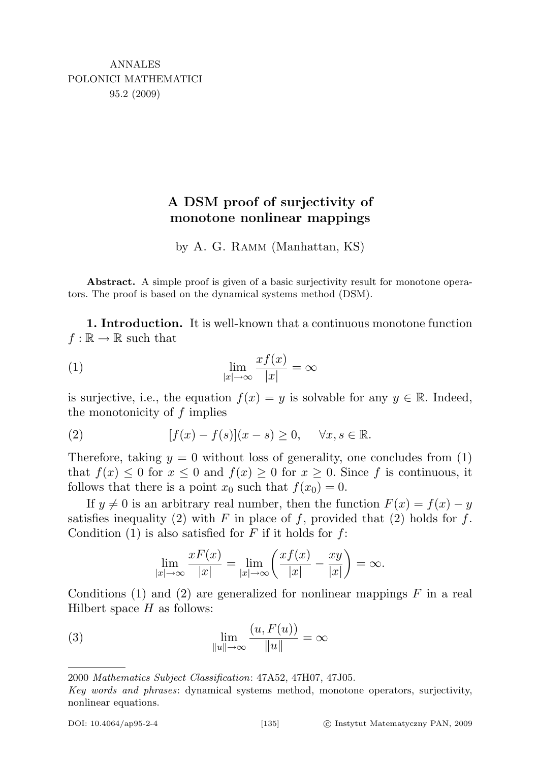## A DSM proof of surjectivity of monotone nonlinear mappings

by A. G. Ramm (Manhattan, KS)

Abstract. A simple proof is given of a basic surjectivity result for monotone operators. The proof is based on the dynamical systems method (DSM).

1. Introduction. It is well-known that a continuous monotone function  $f : \mathbb{R} \to \mathbb{R}$  such that

(1) 
$$
\lim_{|x| \to \infty} \frac{x f(x)}{|x|} = \infty
$$

is surjective, i.e., the equation  $f(x) = y$  is solvable for any  $y \in \mathbb{R}$ . Indeed, the monotonicity of  $f$  implies

(2) 
$$
[f(x) - f(s)](x - s) \ge 0, \quad \forall x, s \in \mathbb{R}.
$$

Therefore, taking  $y = 0$  without loss of generality, one concludes from (1) that  $f(x) \leq 0$  for  $x \leq 0$  and  $f(x) \geq 0$  for  $x \geq 0$ . Since f is continuous, it follows that there is a point  $x_0$  such that  $f(x_0) = 0$ .

If  $y \neq 0$  is an arbitrary real number, then the function  $F(x) = f(x) - y$ satisfies inequality (2) with F in place of f, provided that (2) holds for f. Condition (1) is also satisfied for  $F$  if it holds for  $f$ :

$$
\lim_{|x| \to \infty} \frac{xF(x)}{|x|} = \lim_{|x| \to \infty} \left( \frac{xf(x)}{|x|} - \frac{xy}{|x|} \right) = \infty.
$$

Conditions (1) and (2) are generalized for nonlinear mappings  $F$  in a real Hilbert space  $H$  as follows:

(3) 
$$
\lim_{\|u\|\to\infty} \frac{(u, F(u))}{\|u\|} = \infty
$$

<sup>2000</sup> Mathematics Subject Classification: 47A52, 47H07, 47J05.

Key words and phrases: dynamical systems method, monotone operators, surjectivity, nonlinear equations.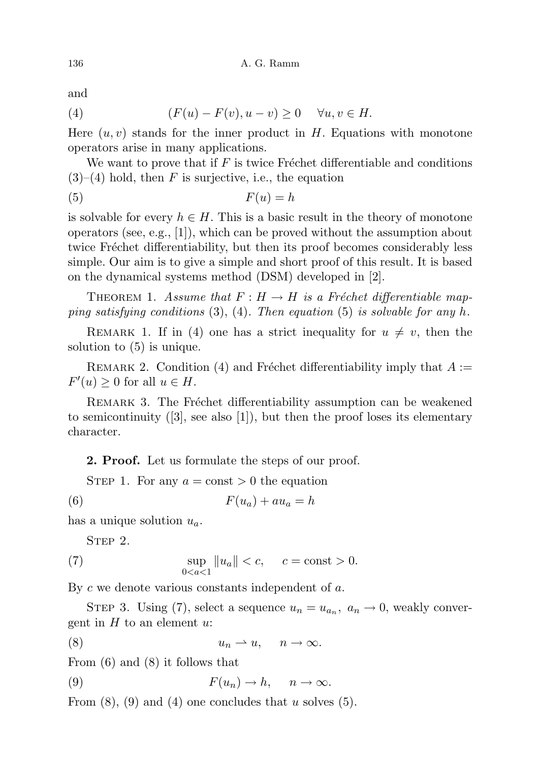and

(4) 
$$
(F(u) - F(v), u - v) \ge 0 \quad \forall u, v \in H.
$$

Here  $(u, v)$  stands for the inner product in H. Equations with monotone operators arise in many applications.

We want to prove that if  $F$  is twice Fréchet differentiable and conditions  $(3)$ – $(4)$  hold, then F is surjective, i.e., the equation

$$
(5) \tF(u) = h
$$

is solvable for every  $h \in H$ . This is a basic result in the theory of monotone operators (see, e.g.,  $[1]$ ), which can be proved without the assumption about twice Fréchet differentiability, but then its proof becomes considerably less simple. Our aim is to give a simple and short proof of this result. It is based on the dynamical systems method (DSM) developed in [2].

THEOREM 1. Assume that  $F : H \to H$  is a Fréchet differentiable mapping satisfying conditions  $(3)$ ,  $(4)$ . Then equation  $(5)$  is solvable for any h.

REMARK 1. If in (4) one has a strict inequality for  $u \neq v$ , then the solution to (5) is unique.

REMARK 2. Condition (4) and Fréchet differentiability imply that  $A :=$  $F'(u) \geq 0$  for all  $u \in H$ .

REMARK 3. The Fréchet differentiability assumption can be weakened to semicontinuity  $([3], \text{ see also } [1])$ , but then the proof loses its elementary character.

2. Proof. Let us formulate the steps of our proof.

STEP 1. For any  $a = \text{const} > 0$  the equation

$$
(6) \tF(u_a) + au_a = h
$$

has a unique solution  $u_a$ .

STEP 2.

(7) 
$$
\sup_{0 < a < 1} \|u_a\| < c, \quad c = \text{const} > 0.
$$

By  $c$  we denote various constants independent of  $a$ .

STEP 3. Using (7), select a sequence  $u_n = u_{a_n}$ ,  $a_n \to 0$ , weakly convergent in  $H$  to an element  $u$ :

$$
(8) \t\t\t u_n \rightharpoonup u, \quad n \to \infty.
$$

From (6) and (8) it follows that

(9) 
$$
F(u_n) \to h, \quad n \to \infty.
$$

From  $(8)$ ,  $(9)$  and  $(4)$  one concludes that u solves  $(5)$ .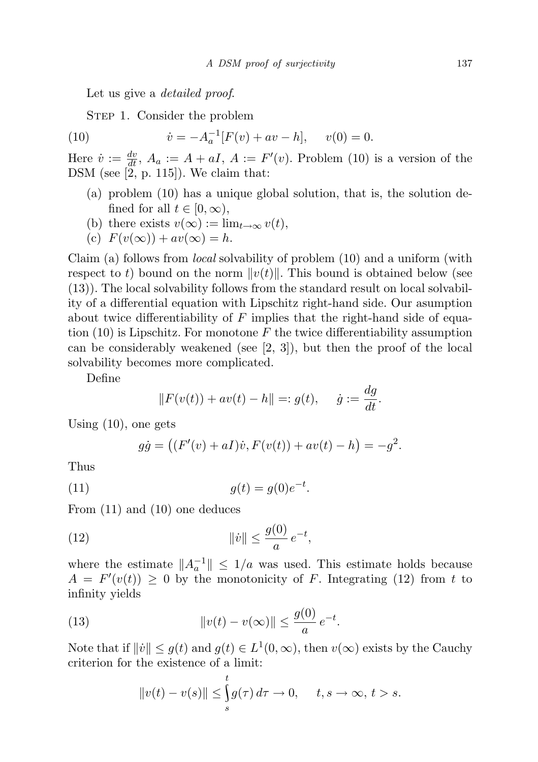Let us give a *detailed proof.* 

STEP 1. Consider the problem

(10) 
$$
\dot{v} = -A_a^{-1}[F(v) + av - h], \quad v(0) = 0.
$$

Here  $\dot{v} := \frac{dv}{dt}$ ,  $A_a := A + aI$ ,  $A := F'(v)$ . Problem (10) is a version of the DSM (see  $[2, p. 115]$ ). We claim that:

- (a) problem (10) has a unique global solution, that is, the solution defined for all  $t \in [0, \infty)$ ,
- (b) there exists  $v(\infty) := \lim_{t \to \infty} v(t)$ ,
- (c)  $F(v(\infty)) + av(\infty) = h$ .

Claim (a) follows from local solvability of problem (10) and a uniform (with respect to t) bound on the norm  $||v(t)||$ . This bound is obtained below (see (13)). The local solvability follows from the standard result on local solvability of a differential equation with Lipschitz right-hand side. Our asumption about twice differentiability of  $F$  implies that the right-hand side of equation  $(10)$  is Lipschitz. For monotone F the twice differentiability assumption can be considerably weakened (see  $[2, 3]$ ), but then the proof of the local solvability becomes more complicated.

Define

$$
||F(v(t)) + av(t) - h|| =: g(t), \quad \dot{g} := \frac{dg}{dt}.
$$

Using (10), one gets

$$
g\dot{g} = ((F'(v) + aI)\dot{v}, F(v(t)) + av(t) - h) = -g^2.
$$

Thus

(11) 
$$
g(t) = g(0)e^{-t}.
$$

From (11) and (10) one deduces

(12) 
$$
\|\dot{v}\| \le \frac{g(0)}{a} e^{-t},
$$

where the estimate  $||A_a^{-1}|| \leq 1/a$  was used. This estimate holds because  $A = F'(v(t)) \geq 0$  by the monotonicity of F. Integrating (12) from t to infinity yields

(13) 
$$
\|v(t) - v(\infty)\| \le \frac{g(0)}{a} e^{-t}.
$$

Note that if  $||\dot{v}|| \leq g(t)$  and  $g(t) \in L^1(0,\infty)$ , then  $v(\infty)$  exists by the Cauchy criterion for the existence of a limit:

$$
||v(t) - v(s)|| \le \int_{s}^{t} g(\tau) d\tau \to 0, \quad t, s \to \infty, t > s.
$$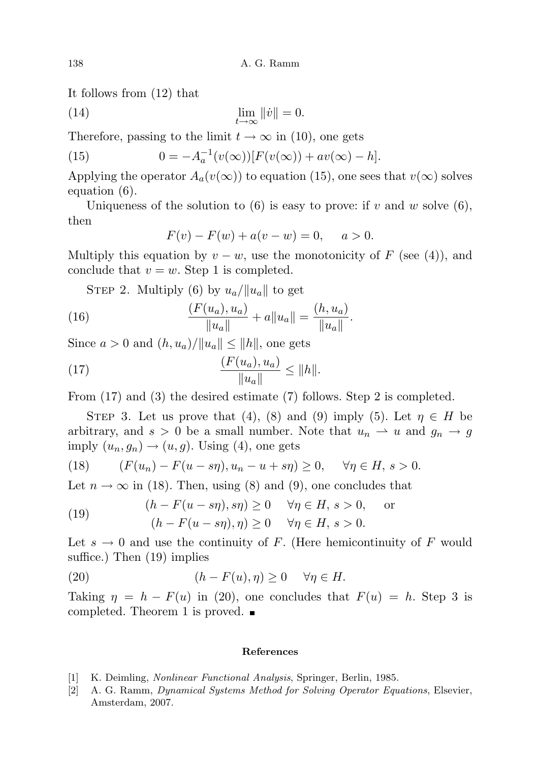It follows from (12) that

(14) 
$$
\lim_{t \to \infty} ||\dot{v}|| = 0.
$$

Therefore, passing to the limit  $t \to \infty$  in (10), one gets

(15) 
$$
0 = -A_a^{-1}(v(\infty))[F(v(\infty)) + av(\infty) - h].
$$

Applying the operator  $A_a(v(\infty))$  to equation (15), one sees that  $v(\infty)$  solves equation (6).

Uniqueness of the solution to  $(6)$  is easy to prove: if v and w solve  $(6)$ , then

$$
F(v) - F(w) + a(v - w) = 0, \quad a > 0.
$$

Multiply this equation by  $v - w$ , use the monotonicity of F (see (4)), and conclude that  $v = w$ . Step 1 is completed.

STEP 2. Multiply (6) by  $u_a/||u_a||$  to get

(16) 
$$
\frac{(F(u_a), u_a)}{\|u_a\|} + a\|u_a\| = \frac{(h, u_a)}{\|u_a\|}.
$$

Since  $a > 0$  and  $(h, u_a) / ||u_a|| \le ||h||$ , one gets

(17) 
$$
\frac{(F(u_a), u_a)}{\|u_a\|} \le \|h\|.
$$

From (17) and (3) the desired estimate (7) follows. Step 2 is completed.

STEP 3. Let us prove that (4), (8) and (9) imply (5). Let  $\eta \in H$  be arbitrary, and  $s > 0$  be a small number. Note that  $u_n \rightharpoonup u$  and  $g_n \rightharpoonup g$ imply  $(u_n, g_n) \rightarrow (u, g)$ . Using (4), one gets

(18) 
$$
(F(u_n) - F(u - s\eta), u_n - u + s\eta) \ge 0, \quad \forall \eta \in H, s > 0.
$$

Let  $n \to \infty$  in (18). Then, using (8) and (9), one concludes that

(19) 
$$
(h - F(u - s\eta), s\eta) \ge 0 \quad \forall \eta \in H, s > 0, \text{ or}
$$

$$
(h - F(u - s\eta), \eta) \ge 0 \quad \forall \eta \in H, s > 0.
$$

Let  $s \to 0$  and use the continuity of F. (Here hemicontinuity of F would suffice.) Then (19) implies

(20) 
$$
(h - F(u), \eta) \ge 0 \quad \forall \eta \in H.
$$

Taking  $\eta = h - F(u)$  in (20), one concludes that  $F(u) = h$ . Step 3 is completed. Theorem 1 is proved.

## References

- [1] K. Deimling, Nonlinear Functional Analysis, Springer, Berlin, 1985.
- [2] A. G. Ramm, Dynamical Systems Method for Solving Operator Equations, Elsevier, Amsterdam, 2007.